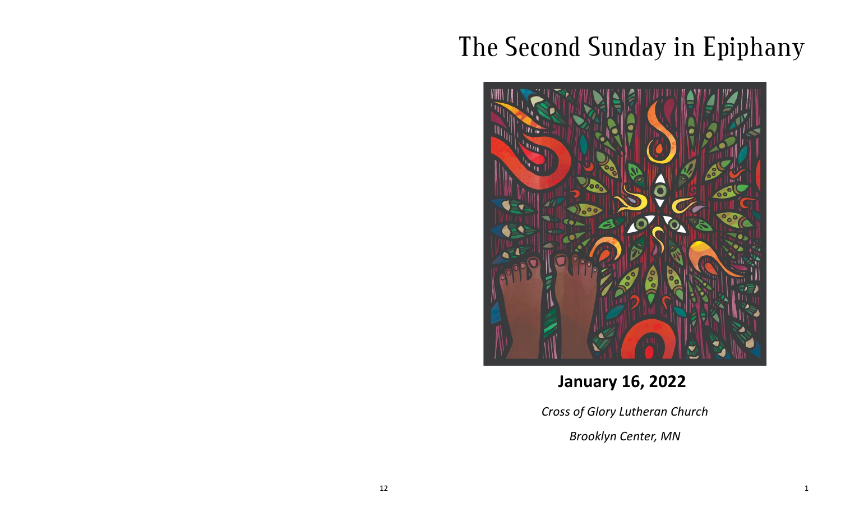# The Second Sunday in Epiphany



**January 16, 2022**

*Cross of Glory Lutheran Church*

*Brooklyn Center, MN*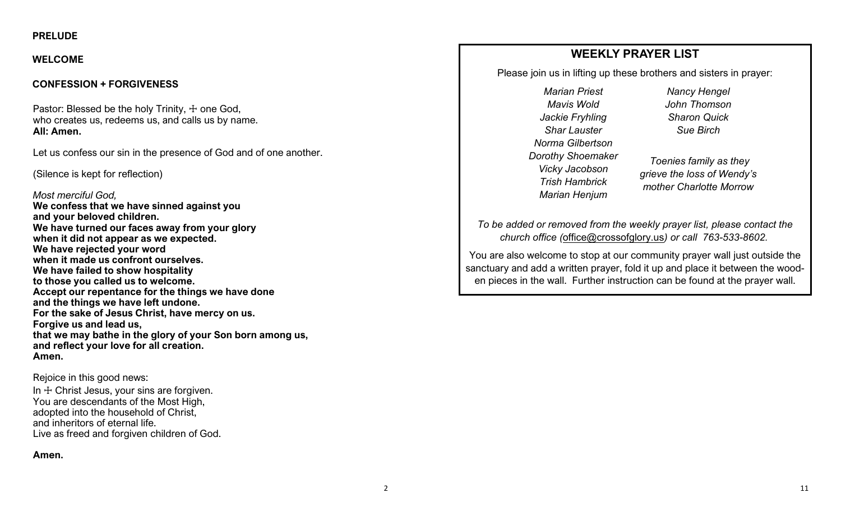#### **PRELUDE**

#### **WELCOME**

#### **CONFESSION + FORGIVENESS**

Pastor: Blessed be the holy Trinity,  $+$  one God, who creates us, redeems us, and calls us by name. **All: Amen.**

Let us confess our sin in the presence of God and of one another.

(Silence is kept for reflection)

#### *Most merciful God,*

**We confess that we have sinned against you and your beloved children. We have turned our faces away from your glory when it did not appear as we expected. We have rejected your word when it made us confront ourselves. We have failed to show hospitality to those you called us to welcome. Accept our repentance for the things we have done and the things we have left undone. For the sake of Jesus Christ, have mercy on us. Forgive us and lead us, that we may bathe in the glory of your Son born among us, and reflect your love for all creation. Amen.**

Rejoice in this good news:

In  $+$  Christ Jesus, your sins are forgiven. You are descendants of the Most High, adopted into the household of Christ, and inheritors of eternal life. Live as freed and forgiven children of God.

#### **Amen.**

## **WEEKLY PRAYER LIST**

Please join us in lifting up these brothers and sisters in prayer:

*Marian Priest Mavis Wold Jackie Fryhling Shar Lauster Norma Gilbertson Dorothy Shoemaker Vicky Jacobson Trish Hambrick Marian Henjum*

*Nancy Hengel John Thomson Sharon Quick Sue Birch*

*Toenies family as they grieve the loss of Wendy's mother Charlotte Morrow*

*To be added or removed from the weekly prayer list, please contact the church office (*[office@crossofglory.us](mailto:office@crossofglory.us)*) or call 763-533-8602.*

You are also welcome to stop at our community prayer wall just outside the sanctuary and add a written prayer, fold it up and place it between the wooden pieces in the wall. Further instruction can be found at the prayer wall.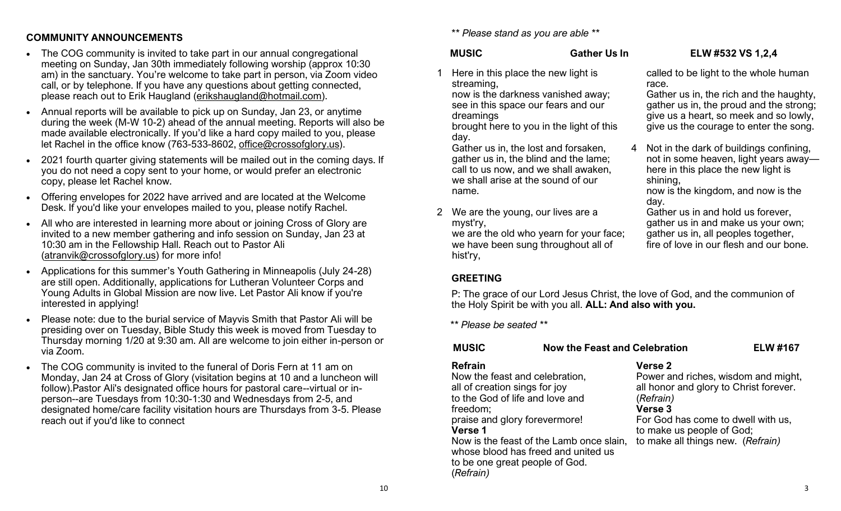#### **COMMUNITY ANNOUNCEMENTS**

- The COG community is invited to take part in our annual congregational meeting on Sunday, Jan 30th immediately following worship (approx 10:30 am) in the sanctuary. You're welcome to take part in person, via Zoom video call, or by telephone. If you have any questions about getting connected, please reach out to Erik Haugland ([erikshaugland@hotmail.com\).](mailto:erikshaugland@hotmail.com)
- Annual reports will be available to pick up on Sunday, Jan 23, or anytime during the week (M-W 10-2) ahead of the annual meeting. Reports will also be made available electronically. If you'd like a hard copy mailed to you, please let Rachel in the office know (763-533-8602, [office@crossofglory.us\).](mailto:office@crossofglory.us)
- 2021 fourth quarter giving statements will be mailed out in the coming days. If you do not need a copy sent to your home, or would prefer an electronic copy, please let Rachel know.
- Offering envelopes for 2022 have arrived and are located at the Welcome Desk. If you'd like your envelopes mailed to you, please notify Rachel.
- All who are interested in learning more about or joining Cross of Glory are invited to a new member gathering and info session on Sunday, Jan 23 at 10:30 am in the Fellowship Hall. Reach out to Pastor Ali [\(atranvik@crossofglory.us\)](mailto:atranvik@crossofglory.us) for more info!
- Applications for this summer's Youth Gathering in Minneapolis (July 24-28) are still open. Additionally, applications for Lutheran Volunteer Corps and Young Adults in Global Mission are now live. Let Pastor Ali know if you're interested in applying!
- Please note: due to the burial service of Mayvis Smith that Pastor Ali will be presiding over on Tuesday, Bible Study this week is moved from Tuesday to Thursday morning 1/20 at 9:30 am. All are welcome to join either in-person or via Zoom.
- The COG community is invited to the funeral of Doris Fern at 11 am on Monday, Jan 24 at Cross of Glory (visitation begins at 10 and a luncheon will follow).Pastor Ali's designated office hours for pastoral care--virtual or inperson--are Tuesdays from 10:30-1:30 and Wednesdays from 2-5, and designated home/care facility visitation hours are Thursdays from 3-5. Please reach out if you'd like to connect

*\*\* Please stand as you are able \*\**

**MUSIC Gather Us In ELW #532 VS 1,2,4**

1 Here in this place the new light is streaming, now is the darkness vanished away;

see in this space our fears and our dreamings

brought here to you in the light of this day.

Gather us in, the lost and forsaken, gather us in, the blind and the lame; call to us now, and we shall awaken, we shall arise at the sound of our name.

2 We are the young, our lives are a myst'ry,

we are the old who yearn for your face; we have been sung throughout all of hist'ry,

## **GREETING**

freedom;

**Verse 1**

(*Refrain)*

P: The grace of our Lord Jesus Christ, the love of God, and the communion of the Holy Spirit be with you all. **ALL: And also with you.**

*\*\* Please be seated \*\**

praise and glory forevermore!

to be one great people of God.

Now is the feast of the Lamb once slain, whose blood has freed and united us

#### **MUSIC Now the Feast and Celebration ELW #167 Refrain** Now the feast and celebration, all of creation sings for joy to the God of life and love and **Verse 2** Power and riches, wisdom and might, all honor and glory to Christ forever. (*Refrain)*

**Verse 3**

For God has come to dwell with us, to make us people of God; to make all things new. (*Refrain)*

give us the courage to enter the song.

race.

4 Not in the dark of buildings confining, not in some heaven, light years away here in this place the new light is shining,

called to be light to the whole human

Gather us in, the rich and the haughty, gather us in, the proud and the strong; give us a heart, so meek and so lowly,

now is the kingdom, and now is the day.

Gather us in and hold us forever, gather us in and make us your own; gather us in, all peoples together, fire of love in our flesh and our bone.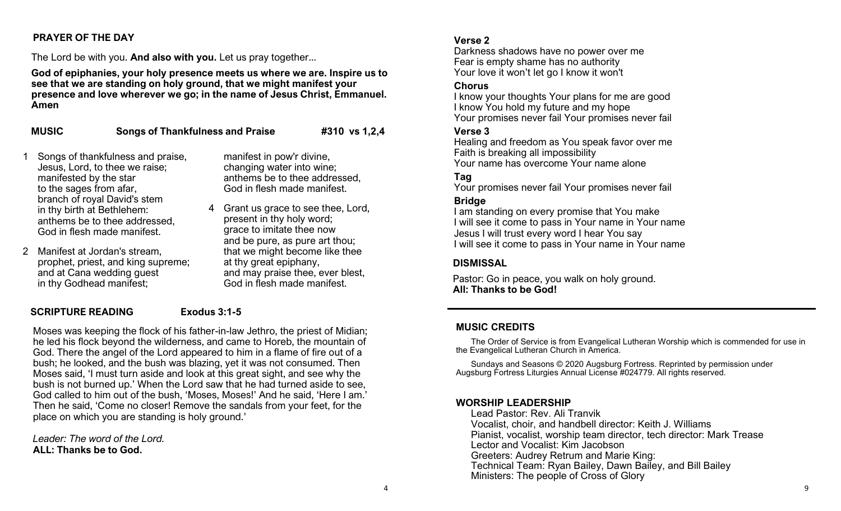#### **PRAYER OF THE DAY**

The Lord be with you. **And also with you.** Let us pray together...

**God of epiphanies, your holy presence meets us where we are. Inspire us to see that we are standing on holy ground, that we might manifest your presence and love wherever we go; in the name of Jesus Christ, Emmanuel. Amen**

| <b>MUSIC</b> | <b>Songs of Thankfulness and Praise</b> | #310 vs 1,2,4 |
|--------------|-----------------------------------------|---------------|
|--------------|-----------------------------------------|---------------|

- 1 Songs of thankfulness and praise, Jesus, Lord, to thee we raise; manifested by the star to the sages from afar, branch of royal David's stem in thy birth at Bethlehem: anthems be to thee addressed, God in flesh made manifest.
- 2 Manifest at Jordan's stream, prophet, priest, and king supreme; and at Cana wedding guest in thy Godhead manifest;
- manifest in pow'r divine, changing water into wine; anthems be to thee addressed, God in flesh made manifest.
- 4 Grant us grace to see thee, Lord, present in thy holy word; grace to imitate thee now and be pure, as pure art thou; that we might become like thee at thy great epiphany, and may praise thee, ever blest, God in flesh made manifest.

#### **SCRIPTURE READING Exodus 3:1-5**

Moses was keeping the flock of his father-in-law Jethro, the priest of Midian; he led his flock beyond the wilderness, and came to Horeb, the mountain of God. There the angel of the Lord appeared to him in a flame of fire out of a bush; he looked, and the bush was blazing, yet it was not consumed. Then Moses said, 'I must turn aside and look at this great sight, and see why the bush is not burned up.' When the Lord saw that he had turned aside to see, God called to him out of the bush, 'Moses, Moses!' And he said, 'Here I am.' Then he said, 'Come no closer! Remove the sandals from your feet, for the place on which you are standing is holy ground.'

*Leader: The word of the Lord.* **ALL: Thanks be to God.**

**Verse 2**

Darkness shadows have no power over me Fear is empty shame has no authority Your love it won't let go I know it won't

#### **Chorus**

I know your thoughts Your plans for me are good I know You hold my future and my hope Your promises never fail Your promises never fail

#### **Verse 3**

Healing and freedom as You speak favor over me Faith is breaking all impossibility Your name has overcome Your name alone

#### **Tag**

Your promises never fail Your promises never fail

#### **Bridge**

I am standing on every promise that You make I will see it come to pass in Your name in Your name Jesus I will trust every word I hear You say I will see it come to pass in Your name in Your name

#### **DISMISSAL**

Pastor: Go in peace, you walk on holy ground. **All: Thanks to be God!**

#### **MUSIC CREDITS**

The Order of Service is from Evangelical Lutheran Worship which is commended for use in the Evangelical Lutheran Church in America.

Sundays and Seasons © 2020 Augsburg Fortress. Reprinted by permission under Augsburg Fortress Liturgies Annual License #024779. All rights reserved.

#### **WORSHIP LEADERSHIP**

Lead Pastor: Rev. Ali Tranvik Vocalist, choir, and handbell director: Keith J. Williams Pianist, vocalist, worship team director, tech director: Mark Trease Lector and Vocalist: Kim Jacobson Greeters: Audrey Retrum and Marie King: Technical Team: Ryan Bailey, Dawn Bailey, and Bill Bailey Ministers: The people of Cross of Glory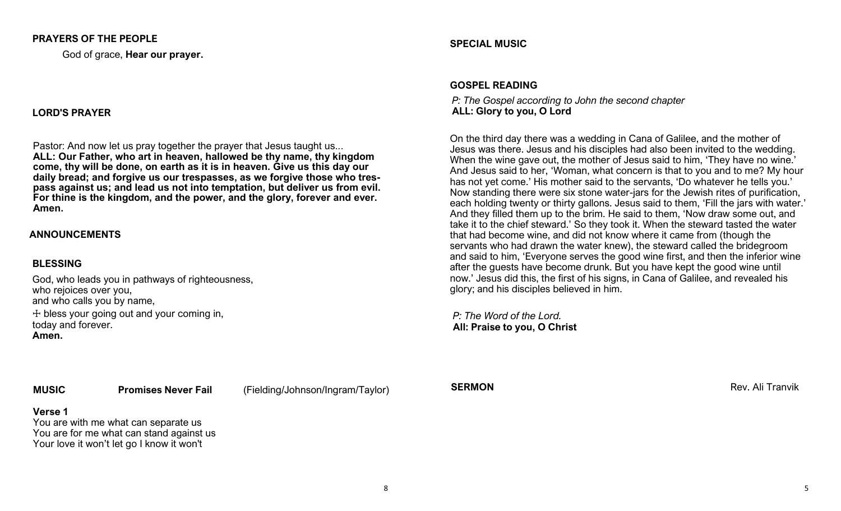#### **PRAYERS OF THE PEOPLE**

God of grace, **Hear our prayer.**

#### **LORD'S PRAYER**

Pastor: And now let us pray together the prayer that Jesus taught us... **ALL: Our Father, who art in heaven, hallowed be thy name, thy kingdom come, thy will be done, on earth as it is in heaven. Give us this day our daily bread; and forgive us our trespasses, as we forgive those who trespass against us; and lead us not into temptation, but deliver us from evil. For thine is the kingdom, and the power, and the glory, forever and ever. Amen.**

#### **ANNOUNCEMENTS**

#### **BLESSING**

God, who leads you in pathways of righteousness, who rejoices over you, and who calls you by name,  $+$  bless your going out and your coming in, today and forever. **Amen.**

### **SPECIAL MUSIC**

#### **GOSPEL READING**

*P: The Gospel according to John the second chapter*  **ALL: Glory to you, O Lord**

On the third day there was a wedding in Cana of Galilee, and the mother of Jesus was there. Jesus and his disciples had also been invited to the wedding. When the wine gave out, the mother of Jesus said to him, 'They have no wine.' And Jesus said to her, 'Woman, what concern is that to you and to me? My hour has not yet come.' His mother said to the servants, 'Do whatever he tells you.' Now standing there were six stone water-jars for the Jewish rites of purification, each holding twenty or thirty gallons. Jesus said to them, 'Fill the jars with water.' And they filled them up to the brim. He said to them, 'Now draw some out, and take it to the chief steward.' So they took it. When the steward tasted the water that had become wine, and did not know where it came from (though the servants who had drawn the water knew), the steward called the bridegroom and said to him, 'Everyone serves the good wine first, and then the inferior wine after the guests have become drunk. But you have kept the good wine until now.' Jesus did this, the first of his signs, in Cana of Galilee, and revealed his glory; and his disciples believed in him.

*P: The Word of the Lord.*  **All: Praise to you, O Christ**

**MUSIC Promises Never Fail** (Fielding/Johnson/Ingram/Taylor)

**Verse 1**

You are with me what can separate us You are for me what can stand against us Your love it won't let go I know it won't